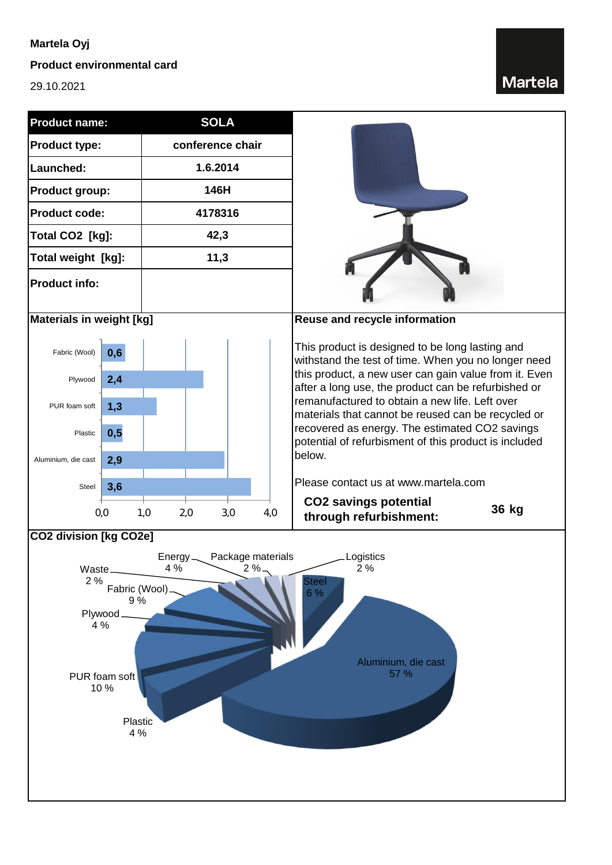### **Martela Oyj**

#### **Product environmental card**

29.10.2021

## Martela

| <b>Product name:</b>                                                                                                   |            | <b>SOLA</b>       |     |                                                                                                                                                                                                                                                                        |       |  |
|------------------------------------------------------------------------------------------------------------------------|------------|-------------------|-----|------------------------------------------------------------------------------------------------------------------------------------------------------------------------------------------------------------------------------------------------------------------------|-------|--|
| <b>Product type:</b>                                                                                                   |            | conference chair  |     |                                                                                                                                                                                                                                                                        |       |  |
| Launched:                                                                                                              |            | 1.6.2014          |     |                                                                                                                                                                                                                                                                        |       |  |
| <b>Product group:</b>                                                                                                  |            | 146H              |     |                                                                                                                                                                                                                                                                        |       |  |
| <b>Product code:</b>                                                                                                   |            | 4178316           |     |                                                                                                                                                                                                                                                                        |       |  |
| Total CO2 [kg]:                                                                                                        |            | 42,3              |     |                                                                                                                                                                                                                                                                        |       |  |
| Total weight [kg]:                                                                                                     |            | 11,3              |     |                                                                                                                                                                                                                                                                        |       |  |
| <b>Product info:</b>                                                                                                   |            |                   |     |                                                                                                                                                                                                                                                                        |       |  |
| <b>Materials in weight [kg]</b>                                                                                        |            |                   |     | Reuse and recycle information                                                                                                                                                                                                                                          |       |  |
| Fabric (Wool)<br>Plywood                                                                                               | 0,6<br>2,4 |                   |     | This product is designed to be long lasting and<br>withstand the test of time. When you no longer need<br>this product, a new user can gain value from it. Even                                                                                                        |       |  |
| PUR foam soft                                                                                                          | 1,3        |                   |     | after a long use, the product can be refurbished or<br>remanufactured to obtain a new life. Left over<br>materials that cannot be reused can be recycled or<br>recovered as energy. The estimated CO2 savings<br>potential of refurbisment of this product is included |       |  |
| Plastic                                                                                                                | 0,5        |                   |     |                                                                                                                                                                                                                                                                        |       |  |
| Aluminium, die cast                                                                                                    | 2,9        |                   |     | below.                                                                                                                                                                                                                                                                 |       |  |
| Steel                                                                                                                  | 3,6        |                   |     | Please contact us at www.martela.com                                                                                                                                                                                                                                   |       |  |
|                                                                                                                        | 0,0        | 3,0<br>1,0<br>2,0 | 4,0 | <b>CO2 savings potential</b><br>through refurbishment:                                                                                                                                                                                                                 | 36 kg |  |
| CO2 division [kg CO2e]                                                                                                 |            |                   |     |                                                                                                                                                                                                                                                                        |       |  |
| Package materials<br>Logistics<br>$Energy_{-}$<br>4 %<br>2%<br>$2 \%$ $-$<br>Waste<br>$2\%$<br><b>Steel</b>            |            |                   |     |                                                                                                                                                                                                                                                                        |       |  |
| Fabric (Wool)<br>6 %<br>9%<br>Plywood.<br>4 %<br>Aluminium, die cast<br>57 %<br>PUR foam soft<br>10%<br>Plastic<br>4 % |            |                   |     |                                                                                                                                                                                                                                                                        |       |  |